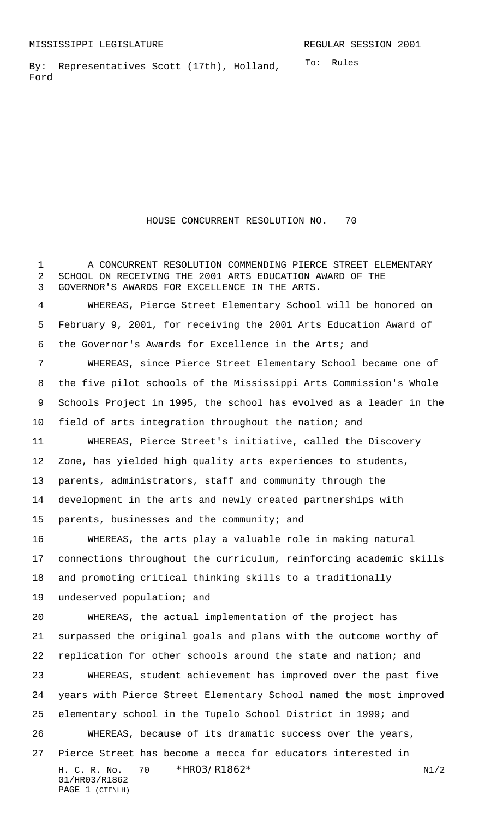To: Rules By: Representatives Scott (17th), Holland, Ford

HOUSE CONCURRENT RESOLUTION NO. 70

 A CONCURRENT RESOLUTION COMMENDING PIERCE STREET ELEMENTARY SCHOOL ON RECEIVING THE 2001 ARTS EDUCATION AWARD OF THE GOVERNOR'S AWARDS FOR EXCELLENCE IN THE ARTS.

 WHEREAS, Pierce Street Elementary School will be honored on February 9, 2001, for receiving the 2001 Arts Education Award of the Governor's Awards for Excellence in the Arts; and

 WHEREAS, since Pierce Street Elementary School became one of the five pilot schools of the Mississippi Arts Commission's Whole Schools Project in 1995, the school has evolved as a leader in the field of arts integration throughout the nation; and

 WHEREAS, Pierce Street's initiative, called the Discovery Zone, has yielded high quality arts experiences to students, parents, administrators, staff and community through the development in the arts and newly created partnerships with parents, businesses and the community; and

 WHEREAS, the arts play a valuable role in making natural connections throughout the curriculum, reinforcing academic skills and promoting critical thinking skills to a traditionally

undeserved population; and

 WHEREAS, the actual implementation of the project has surpassed the original goals and plans with the outcome worthy of replication for other schools around the state and nation; and

 WHEREAS, student achievement has improved over the past five years with Pierce Street Elementary School named the most improved elementary school in the Tupelo School District in 1999; and

H. C. R. No.  $70 * HR03/R1862*$  N1/2 01/HR03/R1862 WHEREAS, because of its dramatic success over the years, Pierce Street has become a mecca for educators interested in

## PAGE 1 (CTE\LH)